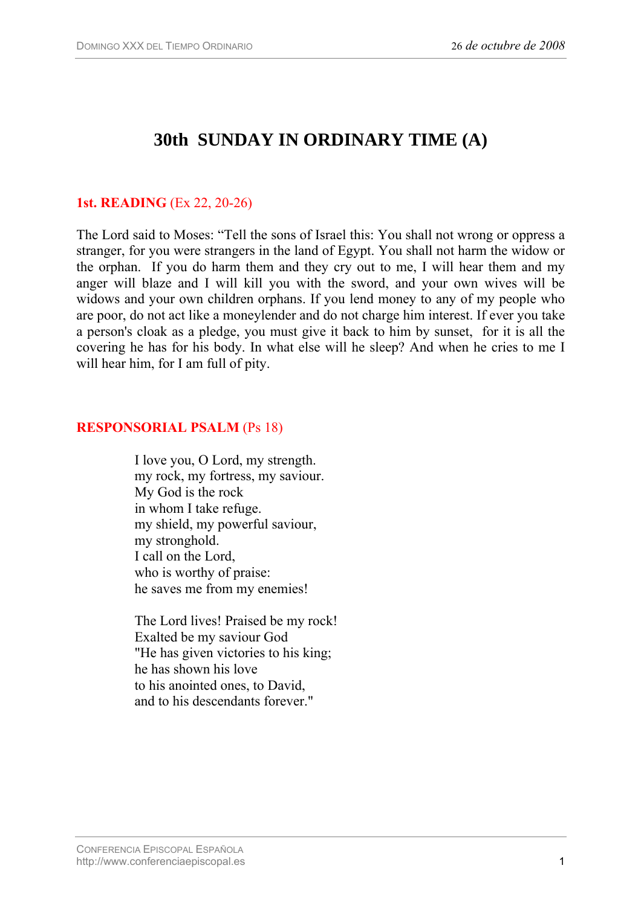# **30th SUNDAY IN ORDINARY TIME (A)**

## **1st. READING** (Ex 22, 20-26)

The Lord said to Moses: "Tell the sons of Israel this: You shall not wrong or oppress a stranger, for you were strangers in the land of Egypt. You shall not harm the widow or the orphan. If you do harm them and they cry out to me, I will hear them and my anger will blaze and I will kill you with the sword, and your own wives will be widows and your own children orphans. If you lend money to any of my people who are poor, do not act like a moneylender and do not charge him interest. If ever you take a person's cloak as a pledge, you must give it back to him by sunset, for it is all the covering he has for his body. In what else will he sleep? And when he cries to me I will hear him, for I am full of pity.

#### **RESPONSORIAL PSALM** (Ps 18)

I love you, O Lord, my strength. my rock, my fortress, my saviour. My God is the rock in whom I take refuge. my shield, my powerful saviour, my stronghold. I call on the Lord, who is worthy of praise: he saves me from my enemies!

The Lord lives! Praised be my rock! Exalted be my saviour God "He has given victories to his king; he has shown his love to his anointed ones, to David, and to his descendants forever."